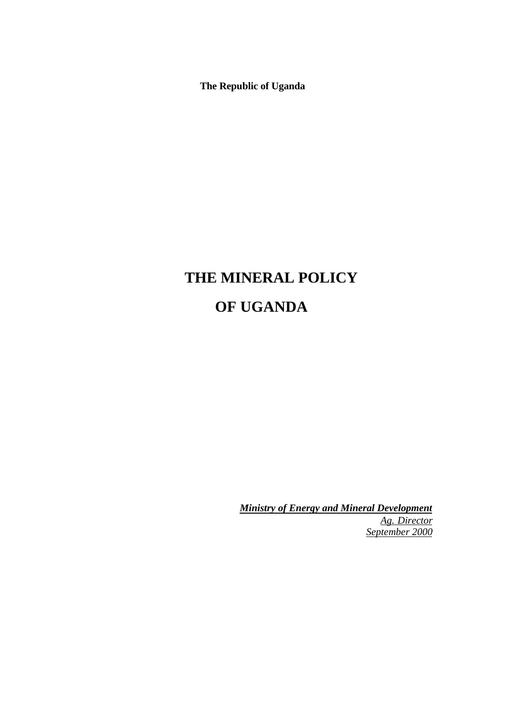**The Republic of Uganda**

# **THE MINERAL POLICY OF UGANDA**

*Ministry of Energy and Mineral Development Ag. Director September 2000*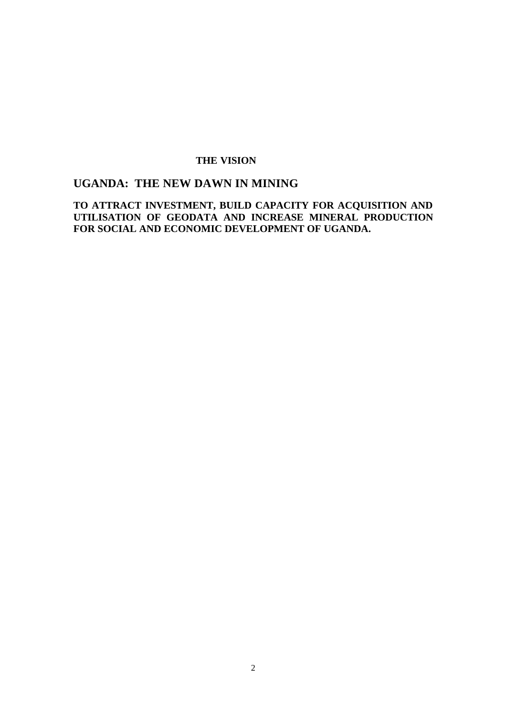### **THE VISION**

# **UGANDA: THE NEW DAWN IN MINING**

**TO ATTRACT INVESTMENT, BUILD CAPACITY FOR ACQUISITION AND UTILISATION OF GEODATA AND INCREASE MINERAL PRODUCTION FOR SOCIAL AND ECONOMIC DEVELOPMENT OF UGANDA.**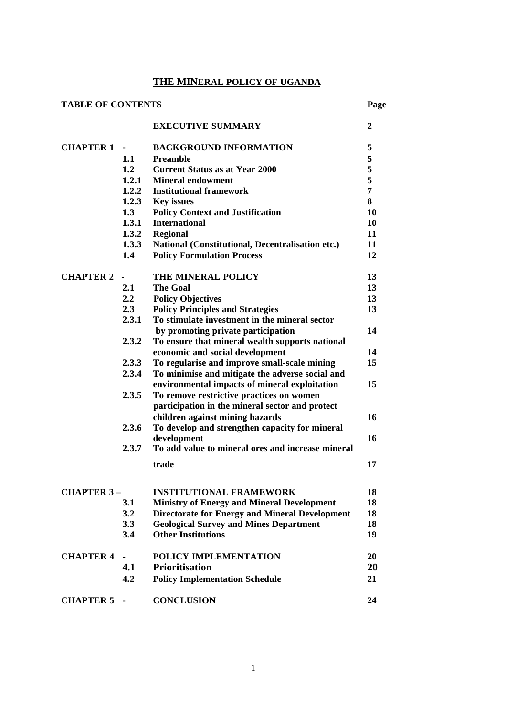# **THE MINERAL POLICY OF UGANDA**

| <b>TABLE OF CONTENTS</b> |               |                                                                  | Page           |
|--------------------------|---------------|------------------------------------------------------------------|----------------|
|                          |               | <b>EXECUTIVE SUMMARY</b>                                         | $\overline{2}$ |
| <b>CHAPTER 1</b>         |               | <b>BACKGROUND INFORMATION</b>                                    | 5              |
|                          | 1.1           | <b>Preamble</b>                                                  | 5              |
|                          | 1.2           | <b>Current Status as at Year 2000</b>                            | $\mathbf 5$    |
|                          |               | 1.2.1 Mineral endowment                                          | 5              |
|                          |               | 1.2.2 Institutional framework                                    | $\overline{7}$ |
|                          |               | 1.2.3 Key issues                                                 | 8              |
|                          | 1.3           | <b>Policy Context and Justification</b>                          | 10             |
|                          | 1.3.1         | <b>International</b>                                             | 10             |
|                          | 1.3.2         | <b>Regional</b>                                                  | 11             |
|                          | 1.3.3         | National (Constitutional, Decentralisation etc.)                 | 11             |
|                          | 1.4           | <b>Policy Formulation Process</b>                                | 12             |
| <b>CHAPTER 2</b>         |               | THE MINERAL POLICY                                               | 13             |
|                          | 2.1           | <b>The Goal</b>                                                  | 13             |
|                          | $2.2^{\circ}$ | <b>Policy Objectives</b>                                         | 13             |
|                          | 2.3           | <b>Policy Principles and Strategies</b>                          | 13             |
|                          | 2.3.1         | To stimulate investment in the mineral sector                    |                |
|                          |               | by promoting private participation                               | 14             |
|                          | 2.3.2         | To ensure that mineral wealth supports national                  |                |
|                          |               | economic and social development                                  | 14             |
|                          | 2.3.3         | To regularise and improve small-scale mining                     | 15             |
|                          | 2.3.4         | To minimise and mitigate the adverse social and                  |                |
|                          |               | environmental impacts of mineral exploitation                    | 15             |
|                          | 2.3.5         | To remove restrictive practices on women                         |                |
|                          |               | participation in the mineral sector and protect                  |                |
|                          |               | children against mining hazards                                  | 16             |
|                          | 2.3.6         | To develop and strengthen capacity for mineral                   |                |
|                          | 2.3.7         | development<br>To add value to mineral ores and increase mineral | 16             |
|                          |               | trade                                                            | 17             |
|                          |               |                                                                  |                |
| <b>CHAPTER 3-</b>        |               | <b>INSTITUTIONAL FRAMEWORK</b>                                   | 18             |
|                          | 3.1           | <b>Ministry of Energy and Mineral Development</b>                | 18             |
|                          | 3.2           | <b>Directorate for Energy and Mineral Development</b>            | 18             |
|                          | 3.3           | <b>Geological Survey and Mines Department</b>                    | 18             |
|                          | 3.4           | <b>Other Institutions</b>                                        | 19             |
| <b>CHAPTER 4</b>         |               | POLICY IMPLEMENTATION                                            | 20             |
|                          | 4.1           | <b>Prioritisation</b>                                            | 20             |
|                          | 4.2           | <b>Policy Implementation Schedule</b>                            | 21             |
| <b>CHAPTER 5</b>         |               | <b>CONCLUSION</b>                                                | 24             |
|                          |               |                                                                  |                |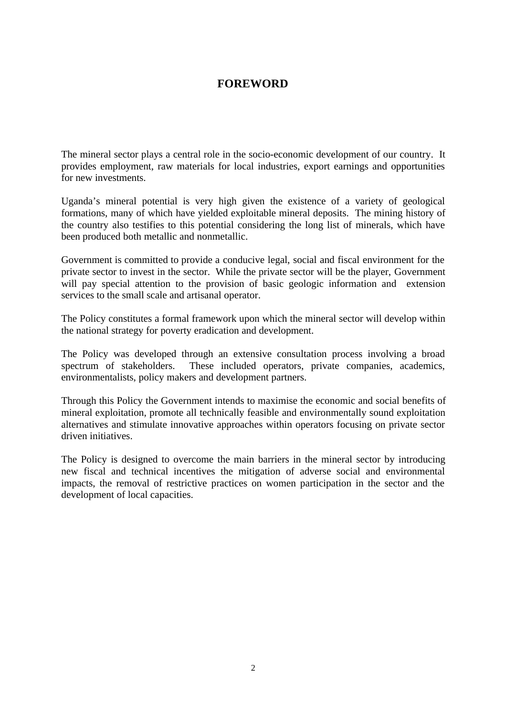# **FOREWORD**

The mineral sector plays a central role in the socio-economic development of our country. It provides employment, raw materials for local industries, export earnings and opportunities for new investments.

Uganda's mineral potential is very high given the existence of a variety of geological formations, many of which have yielded exploitable mineral deposits. The mining history of the country also testifies to this potential considering the long list of minerals, which have been produced both metallic and nonmetallic.

Government is committed to provide a conducive legal, social and fiscal environment for the private sector to invest in the sector. While the private sector will be the player, Government will pay special attention to the provision of basic geologic information and extension services to the small scale and artisanal operator.

The Policy constitutes a formal framework upon which the mineral sector will develop within the national strategy for poverty eradication and development.

The Policy was developed through an extensive consultation process involving a broad spectrum of stakeholders. These included operators, private companies, academics, environmentalists, policy makers and development partners.

Through this Policy the Government intends to maximise the economic and social benefits of mineral exploitation, promote all technically feasible and environmentally sound exploitation alternatives and stimulate innovative approaches within operators focusing on private sector driven initiatives.

The Policy is designed to overcome the main barriers in the mineral sector by introducing new fiscal and technical incentives the mitigation of adverse social and environmental impacts, the removal of restrictive practices on women participation in the sector and the development of local capacities.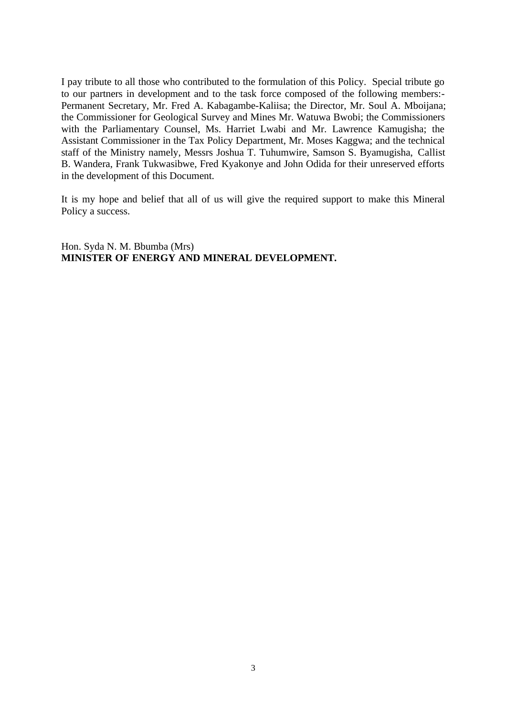I pay tribute to all those who contributed to the formulation of this Policy. Special tribute go to our partners in development and to the task force composed of the following members:- Permanent Secretary, Mr. Fred A. Kabagambe-Kaliisa; the Director, Mr. Soul A. Mboijana; the Commissioner for Geological Survey and Mines Mr. Watuwa Bwobi; the Commissioners with the Parliamentary Counsel, Ms. Harriet Lwabi and Mr. Lawrence Kamugisha; the Assistant Commissioner in the Tax Policy Department, Mr. Moses Kaggwa; and the technical staff of the Ministry namely, Messrs Joshua T. Tuhumwire, Samson S. Byamugisha, Callist B. Wandera, Frank Tukwasibwe, Fred Kyakonye and John Odida for their unreserved efforts in the development of this Document.

It is my hope and belief that all of us will give the required support to make this Mineral Policy a success.

Hon. Syda N. M. Bbumba (Mrs) **MINISTER OF ENERGY AND MINERAL DEVELOPMENT.**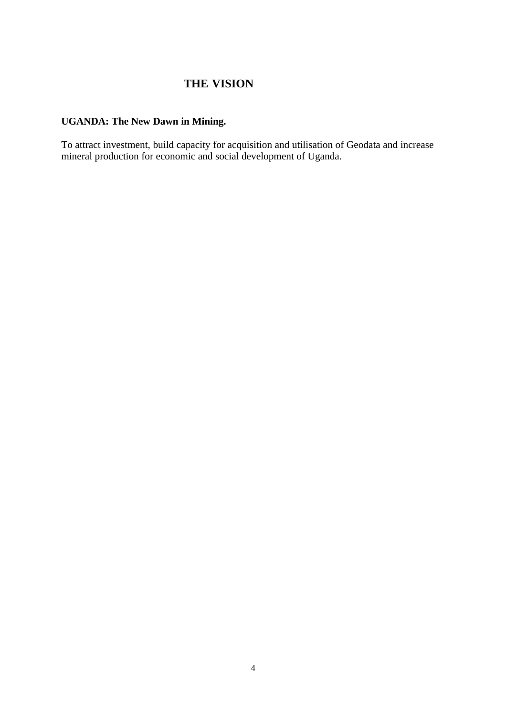# **THE VISION**

# **UGANDA: The New Dawn in Mining.**

To attract investment, build capacity for acquisition and utilisation of Geodata and increase mineral production for economic and social development of Uganda.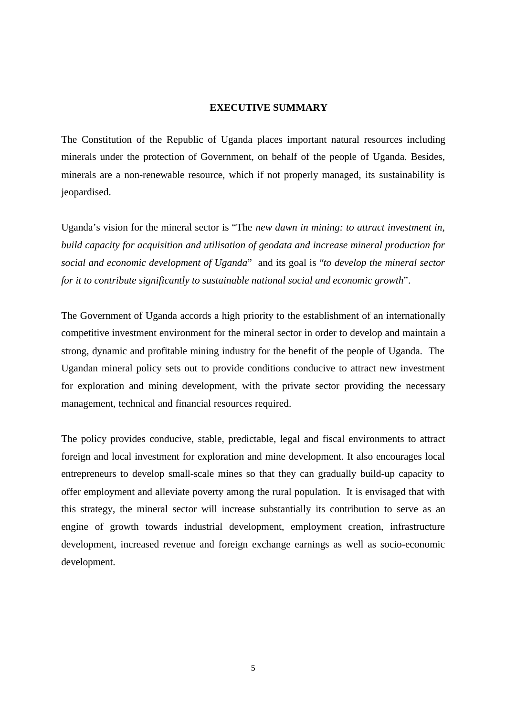### **EXECUTIVE SUMMARY**

The Constitution of the Republic of Uganda places important natural resources including minerals under the protection of Government, on behalf of the people of Uganda. Besides, minerals are a non-renewable resource, which if not properly managed, its sustainability is jeopardised.

Uganda's vision for the mineral sector is "The *new dawn in mining: to attract investment in, build capacity for acquisition and utilisation of geodata and increase mineral production for social and economic development of Uganda*" and its goal is "*to develop the mineral sector for it to contribute significantly to sustainable national social and economic growth*".

The Government of Uganda accords a high priority to the establishment of an internationally competitive investment environment for the mineral sector in order to develop and maintain a strong, dynamic and profitable mining industry for the benefit of the people of Uganda. The Ugandan mineral policy sets out to provide conditions conducive to attract new investment for exploration and mining development, with the private sector providing the necessary management, technical and financial resources required.

The policy provides conducive, stable, predictable, legal and fiscal environments to attract foreign and local investment for exploration and mine development. It also encourages local entrepreneurs to develop small-scale mines so that they can gradually build-up capacity to offer employment and alleviate poverty among the rural population. It is envisaged that with this strategy, the mineral sector will increase substantially its contribution to serve as an engine of growth towards industrial development, employment creation, infrastructure development, increased revenue and foreign exchange earnings as well as socio-economic development.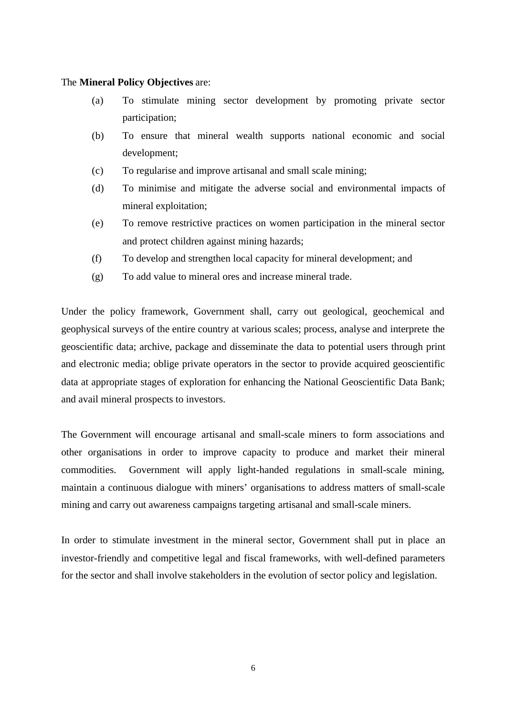# The **Mineral Policy Objectives** are:

- (a) To stimulate mining sector development by promoting private sector participation;
- (b) To ensure that mineral wealth supports national economic and social development;
- (c) To regularise and improve artisanal and small scale mining;
- (d) To minimise and mitigate the adverse social and environmental impacts of mineral exploitation;
- (e) To remove restrictive practices on women participation in the mineral sector and protect children against mining hazards;
- (f) To develop and strengthen local capacity for mineral development; and
- (g) To add value to mineral ores and increase mineral trade.

Under the policy framework, Government shall, carry out geological, geochemical and geophysical surveys of the entire country at various scales; process, analyse and interprete the geoscientific data; archive, package and disseminate the data to potential users through print and electronic media; oblige private operators in the sector to provide acquired geoscientific data at appropriate stages of exploration for enhancing the National Geoscientific Data Bank; and avail mineral prospects to investors.

The Government will encourage artisanal and small-scale miners to form associations and other organisations in order to improve capacity to produce and market their mineral commodities. Government will apply light-handed regulations in small-scale mining, maintain a continuous dialogue with miners' organisations to address matters of small-scale mining and carry out awareness campaigns targeting artisanal and small-scale miners.

In order to stimulate investment in the mineral sector, Government shall put in place an investor-friendly and competitive legal and fiscal frameworks, with well-defined parameters for the sector and shall involve stakeholders in the evolution of sector policy and legislation.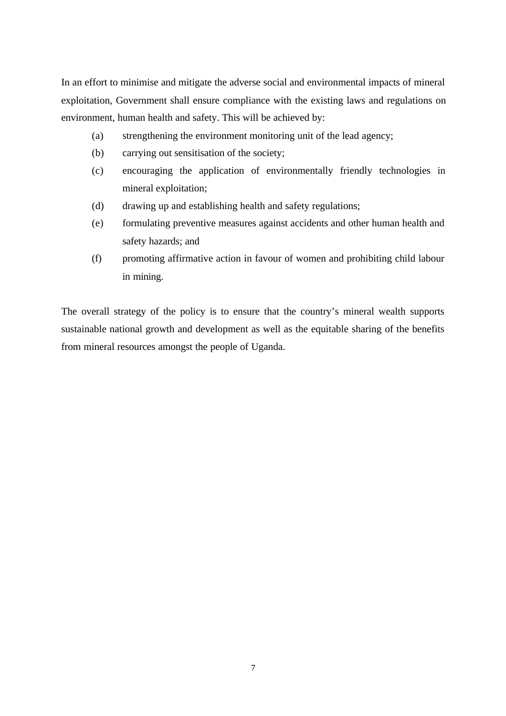In an effort to minimise and mitigate the adverse social and environmental impacts of mineral exploitation, Government shall ensure compliance with the existing laws and regulations on environment, human health and safety. This will be achieved by:

- (a) strengthening the environment monitoring unit of the lead agency;
- (b) carrying out sensitisation of the society;
- (c) encouraging the application of environmentally friendly technologies in mineral exploitation;
- (d) drawing up and establishing health and safety regulations;
- (e) formulating preventive measures against accidents and other human health and safety hazards; and
- (f) promoting affirmative action in favour of women and prohibiting child labour in mining.

The overall strategy of the policy is to ensure that the country's mineral wealth supports sustainable national growth and development as well as the equitable sharing of the benefits from mineral resources amongst the people of Uganda.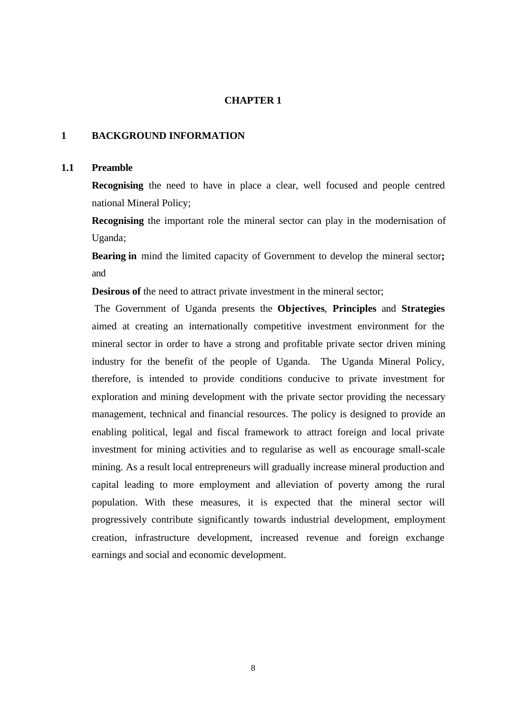### **CHAPTER 1**

### **1 BACKGROUND INFORMATION**

### **1.1 Preamble**

**Recognising** the need to have in place a clear, well focused and people centred national Mineral Policy;

**Recognising** the important role the mineral sector can play in the modernisation of Uganda;

**Bearing in** mind the limited capacity of Government to develop the mineral sector**;** and

**Desirous of** the need to attract private investment in the mineral sector;

The Government of Uganda presents the **Objectives**, **Principles** and **Strategies** aimed at creating an internationally competitive investment environment for the mineral sector in order to have a strong and profitable private sector driven mining industry for the benefit of the people of Uganda. The Uganda Mineral Policy, therefore, is intended to provide conditions conducive to private investment for exploration and mining development with the private sector providing the necessary management, technical and financial resources. The policy is designed to provide an enabling political, legal and fiscal framework to attract foreign and local private investment for mining activities and to regularise as well as encourage small-scale mining. As a result local entrepreneurs will gradually increase mineral production and capital leading to more employment and alleviation of poverty among the rural population. With these measures, it is expected that the mineral sector will progressively contribute significantly towards industrial development, employment creation, infrastructure development, increased revenue and foreign exchange earnings and social and economic development.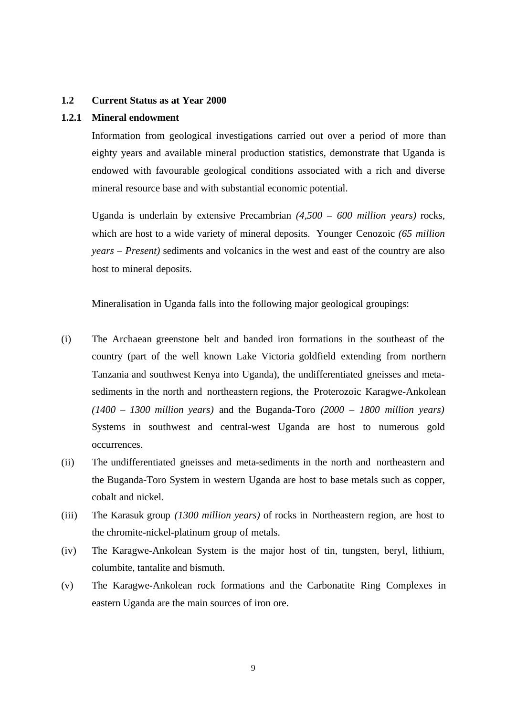### **1.2 Current Status as at Year 2000**

# **1.2.1 Mineral endowment**

Information from geological investigations carried out over a period of more than eighty years and available mineral production statistics, demonstrate that Uganda is endowed with favourable geological conditions associated with a rich and diverse mineral resource base and with substantial economic potential.

Uganda is underlain by extensive Precambrian *(4,500 – 600 million years)* rocks, which are host to a wide variety of mineral deposits. Younger Cenozoic *(65 million years – Present)* sediments and volcanics in the west and east of the country are also host to mineral deposits.

Mineralisation in Uganda falls into the following major geological groupings:

- (i) The Archaean greenstone belt and banded iron formations in the southeast of the country (part of the well known Lake Victoria goldfield extending from northern Tanzania and southwest Kenya into Uganda), the undifferentiated gneisses and metasediments in the north and northeastern regions, the Proterozoic Karagwe-Ankolean *(1400 – 1300 million years)* and the Buganda-Toro *(2000 – 1800 million years)* Systems in southwest and central-west Uganda are host to numerous gold occurrences.
- (ii) The undifferentiated gneisses and meta-sediments in the north and northeastern and the Buganda-Toro System in western Uganda are host to base metals such as copper, cobalt and nickel.
- (iii) The Karasuk group *(1300 million years)* of rocks in Northeastern region, are host to the chromite-nickel-platinum group of metals.
- (iv) The Karagwe-Ankolean System is the major host of tin, tungsten, beryl, lithium, columbite, tantalite and bismuth.
- (v) The Karagwe-Ankolean rock formations and the Carbonatite Ring Complexes in eastern Uganda are the main sources of iron ore.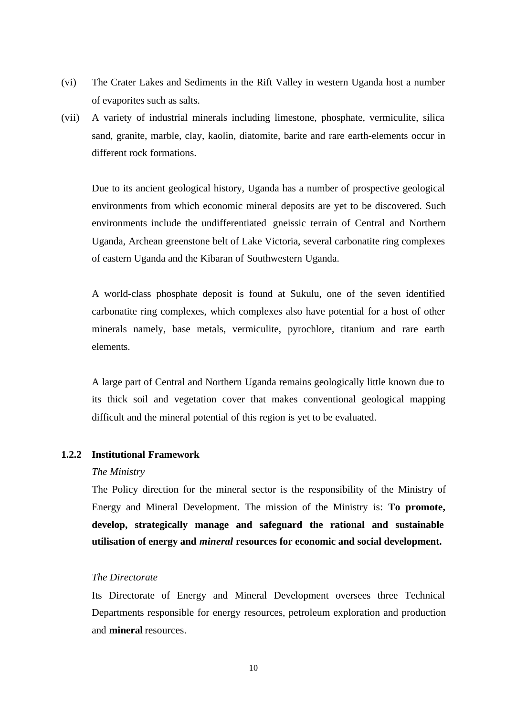- (vi) The Crater Lakes and Sediments in the Rift Valley in western Uganda host a number of evaporites such as salts.
- (vii) A variety of industrial minerals including limestone, phosphate, vermiculite, silica sand, granite, marble, clay, kaolin, diatomite, barite and rare earth-elements occur in different rock formations.

Due to its ancient geological history, Uganda has a number of prospective geological environments from which economic mineral deposits are yet to be discovered. Such environments include the undifferentiated gneissic terrain of Central and Northern Uganda, Archean greenstone belt of Lake Victoria, several carbonatite ring complexes of eastern Uganda and the Kibaran of Southwestern Uganda.

A world-class phosphate deposit is found at Sukulu, one of the seven identified carbonatite ring complexes, which complexes also have potential for a host of other minerals namely, base metals, vermiculite, pyrochlore, titanium and rare earth elements.

A large part of Central and Northern Uganda remains geologically little known due to its thick soil and vegetation cover that makes conventional geological mapping difficult and the mineral potential of this region is yet to be evaluated.

### **1.2.2 Institutional Framework**

#### *The Ministry*

The Policy direction for the mineral sector is the responsibility of the Ministry of Energy and Mineral Development. The mission of the Ministry is: **To promote, develop, strategically manage and safeguard the rational and sustainable utilisation of energy and** *mineral* **resources for economic and social development.**

### *The Directorate*

Its Directorate of Energy and Mineral Development oversees three Technical Departments responsible for energy resources, petroleum exploration and production and **mineral** resources.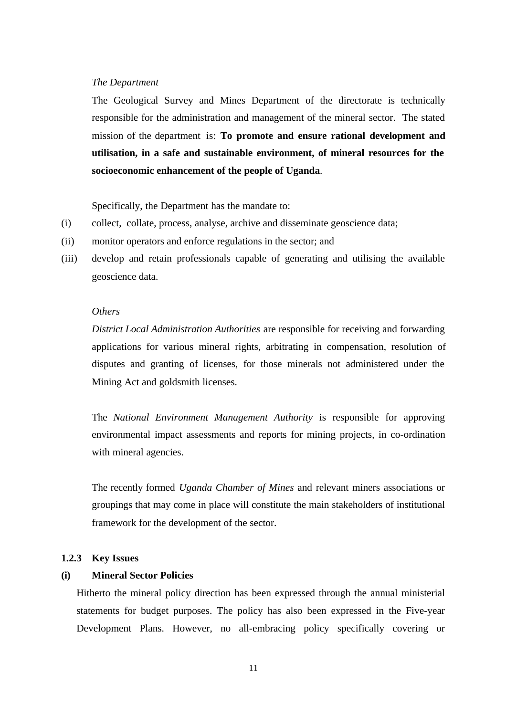### *The Department*

The Geological Survey and Mines Department of the directorate is technically responsible for the administration and management of the mineral sector. The stated mission of the department is: **To promote and ensure rational development and utilisation, in a safe and sustainable environment, of mineral resources for the socioeconomic enhancement of the people of Uganda**.

Specifically, the Department has the mandate to:

- (i) collect, collate, process, analyse, archive and disseminate geoscience data;
- (ii) monitor operators and enforce regulations in the sector; and
- (iii) develop and retain professionals capable of generating and utilising the available geoscience data.

### *Others*

*District Local Administration Authorities* are responsible for receiving and forwarding applications for various mineral rights, arbitrating in compensation, resolution of disputes and granting of licenses, for those minerals not administered under the Mining Act and goldsmith licenses.

The *National Environment Management Authority* is responsible for approving environmental impact assessments and reports for mining projects, in co-ordination with mineral agencies.

The recently formed *Uganda Chamber of Mines* and relevant miners associations or groupings that may come in place will constitute the main stakeholders of institutional framework for the development of the sector.

### **1.2.3 Key Issues**

### **(i) Mineral Sector Policies**

Hitherto the mineral policy direction has been expressed through the annual ministerial statements for budget purposes. The policy has also been expressed in the Five-year Development Plans. However, no all-embracing policy specifically covering or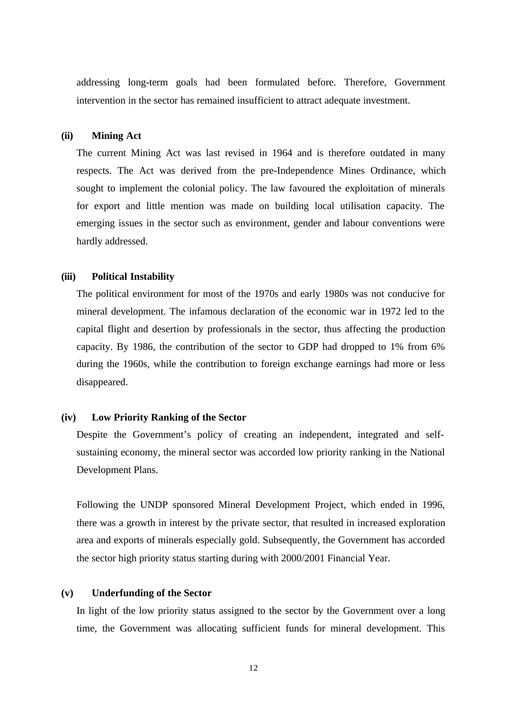addressing long-term goals had been formulated before. Therefore, Government intervention in the sector has remained insufficient to attract adequate investment.

### **(ii) Mining Act**

The current Mining Act was last revised in 1964 and is therefore outdated in many respects. The Act was derived from the pre-Independence Mines Ordinance, which sought to implement the colonial policy. The law favoured the exploitation of minerals for export and little mention was made on building local utilisation capacity. The emerging issues in the sector such as environment, gender and labour conventions were hardly addressed.

### **(iii) Political Instability**

The political environment for most of the 1970s and early 1980s was not conducive for mineral development. The infamous declaration of the economic war in 1972 led to the capital flight and desertion by professionals in the sector, thus affecting the production capacity. By 1986, the contribution of the sector to GDP had dropped to 1% from 6% during the 1960s, while the contribution to foreign exchange earnings had more or less disappeared.

### **(iv) Low Priority Ranking of the Sector**

Despite the Government's policy of creating an independent, integrated and selfsustaining economy, the mineral sector was accorded low priority ranking in the National Development Plans.

Following the UNDP sponsored Mineral Development Project, which ended in 1996, there was a growth in interest by the private sector, that resulted in increased exploration area and exports of minerals especially gold. Subsequently, the Government has accorded the sector high priority status starting during with 2000/2001 Financial Year.

#### **(v) Underfunding of the Sector**

In light of the low priority status assigned to the sector by the Government over a long time, the Government was allocating sufficient funds for mineral development. This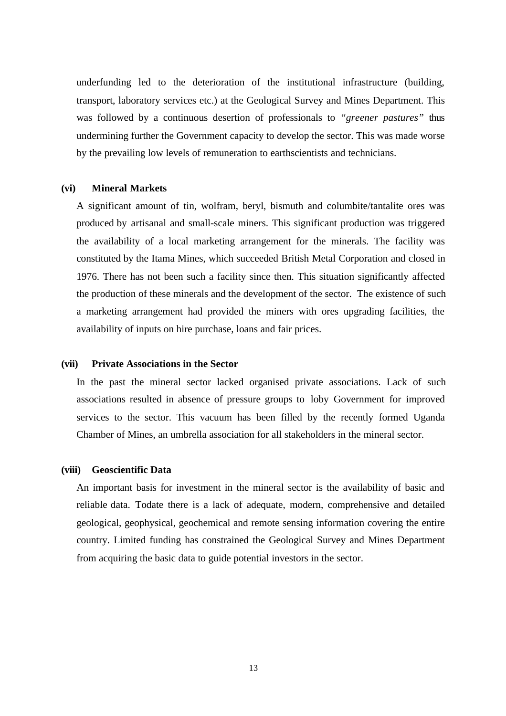underfunding led to the deterioration of the institutional infrastructure (building, transport, laboratory services etc.) at the Geological Survey and Mines Department. This was followed by a continuous desertion of professionals to *"greener pastures"* thus undermining further the Government capacity to develop the sector. This was made worse by the prevailing low levels of remuneration to earthscientists and technicians.

#### **(vi) Mineral Markets**

A significant amount of tin, wolfram, beryl, bismuth and columbite/tantalite ores was produced by artisanal and small-scale miners. This significant production was triggered the availability of a local marketing arrangement for the minerals. The facility was constituted by the Itama Mines, which succeeded British Metal Corporation and closed in 1976. There has not been such a facility since then. This situation significantly affected the production of these minerals and the development of the sector. The existence of such a marketing arrangement had provided the miners with ores upgrading facilities, the availability of inputs on hire purchase, loans and fair prices.

### **(vii) Private Associations in the Sector**

In the past the mineral sector lacked organised private associations. Lack of such associations resulted in absence of pressure groups to loby Government for improved services to the sector. This vacuum has been filled by the recently formed Uganda Chamber of Mines, an umbrella association for all stakeholders in the mineral sector.

#### **(viii) Geoscientific Data**

An important basis for investment in the mineral sector is the availability of basic and reliable data. Todate there is a lack of adequate, modern, comprehensive and detailed geological, geophysical, geochemical and remote sensing information covering the entire country. Limited funding has constrained the Geological Survey and Mines Department from acquiring the basic data to guide potential investors in the sector.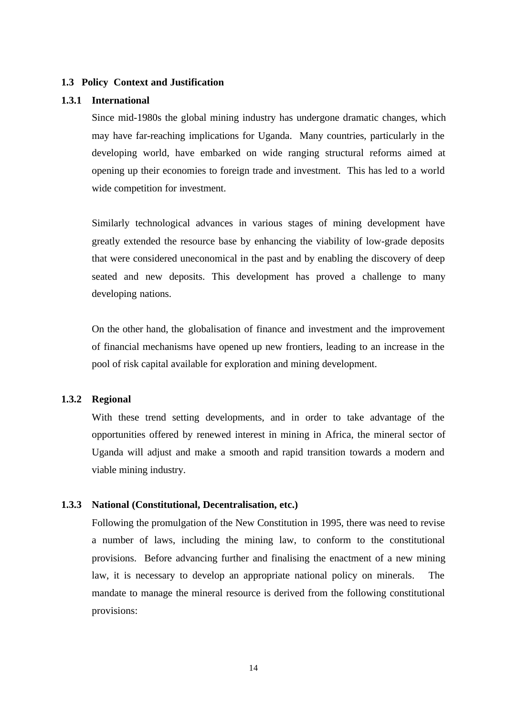### **1.3 Policy Context and Justification**

#### **1.3.1 International**

Since mid-1980s the global mining industry has undergone dramatic changes, which may have far-reaching implications for Uganda. Many countries, particularly in the developing world, have embarked on wide ranging structural reforms aimed at opening up their economies to foreign trade and investment. This has led to a world wide competition for investment.

Similarly technological advances in various stages of mining development have greatly extended the resource base by enhancing the viability of low-grade deposits that were considered uneconomical in the past and by enabling the discovery of deep seated and new deposits. This development has proved a challenge to many developing nations.

On the other hand, the globalisation of finance and investment and the improvement of financial mechanisms have opened up new frontiers, leading to an increase in the pool of risk capital available for exploration and mining development.

### **1.3.2 Regional**

With these trend setting developments, and in order to take advantage of the opportunities offered by renewed interest in mining in Africa, the mineral sector of Uganda will adjust and make a smooth and rapid transition towards a modern and viable mining industry.

### **1.3.3 National (Constitutional, Decentralisation, etc.)**

Following the promulgation of the New Constitution in 1995, there was need to revise a number of laws, including the mining law, to conform to the constitutional provisions. Before advancing further and finalising the enactment of a new mining law, it is necessary to develop an appropriate national policy on minerals. The mandate to manage the mineral resource is derived from the following constitutional provisions: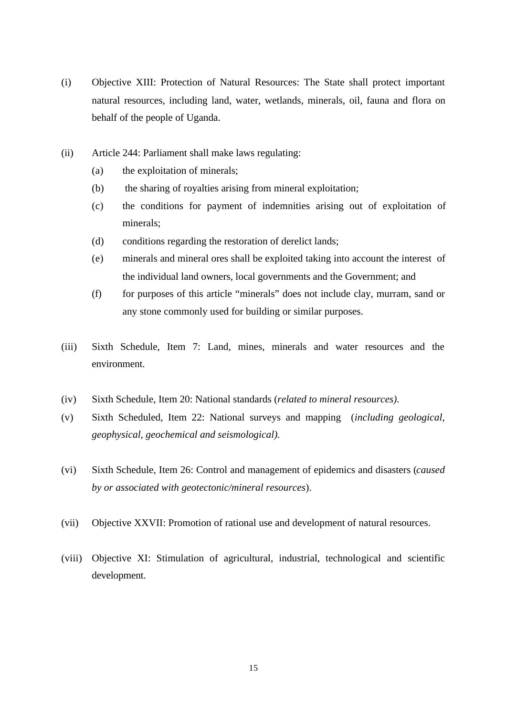- (i) Objective XIII: Protection of Natural Resources: The State shall protect important natural resources, including land, water, wetlands, minerals, oil, fauna and flora on behalf of the people of Uganda.
- (ii) Article 244: Parliament shall make laws regulating:
	- (a) the exploitation of minerals;
	- (b) the sharing of royalties arising from mineral exploitation;
	- (c) the conditions for payment of indemnities arising out of exploitation of minerals;
	- (d) conditions regarding the restoration of derelict lands;
	- (e) minerals and mineral ores shall be exploited taking into account the interest of the individual land owners, local governments and the Government; and
	- (f) for purposes of this article "minerals" does not include clay, murram, sand or any stone commonly used for building or similar purposes.
- (iii) Sixth Schedule, Item 7: Land, mines, minerals and water resources and the environment.
- (iv) Sixth Schedule, Item 20: National standards (*related to mineral resources).*
- (v) Sixth Scheduled, Item 22: National surveys and mapping (*including geological, geophysical, geochemical and seismological).*
- (vi) Sixth Schedule, Item 26: Control and management of epidemics and disasters (*caused by or associated with geotectonic/mineral resources*).
- (vii) Objective XXVII: Promotion of rational use and development of natural resources.
- (viii) Objective XI: Stimulation of agricultural, industrial, technological and scientific development.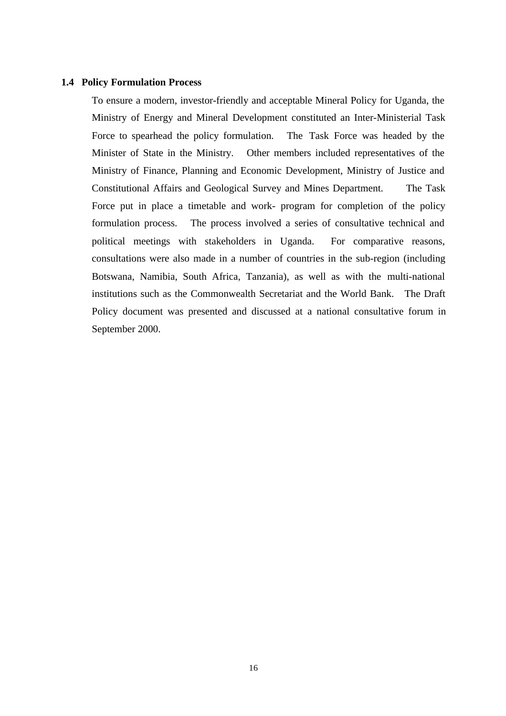### **1.4 Policy Formulation Process**

To ensure a modern, investor-friendly and acceptable Mineral Policy for Uganda, the Ministry of Energy and Mineral Development constituted an Inter-Ministerial Task Force to spearhead the policy formulation. The Task Force was headed by the Minister of State in the Ministry. Other members included representatives of the Ministry of Finance, Planning and Economic Development, Ministry of Justice and Constitutional Affairs and Geological Survey and Mines Department. The Task Force put in place a timetable and work- program for completion of the policy formulation process. The process involved a series of consultative technical and political meetings with stakeholders in Uganda. For comparative reasons, consultations were also made in a number of countries in the sub-region (including Botswana, Namibia, South Africa, Tanzania), as well as with the multi-national institutions such as the Commonwealth Secretariat and the World Bank. The Draft Policy document was presented and discussed at a national consultative forum in September 2000.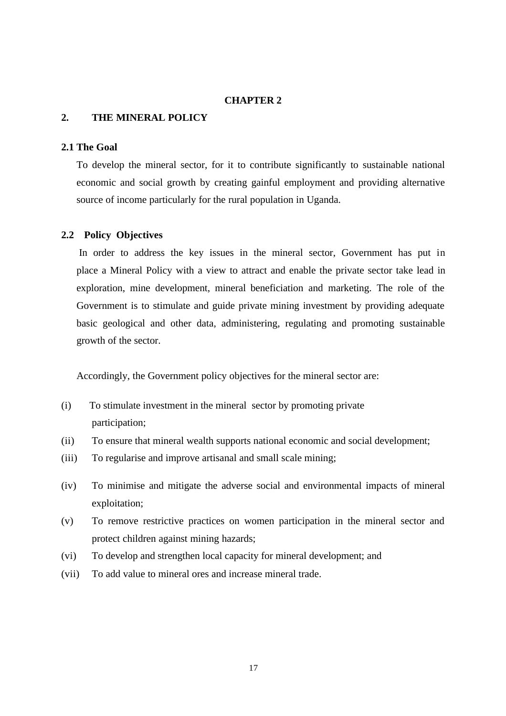# **CHAPTER 2**

# **2. THE MINERAL POLICY**

### **2.1 The Goal**

To develop the mineral sector, for it to contribute significantly to sustainable national economic and social growth by creating gainful employment and providing alternative source of income particularly for the rural population in Uganda.

### **2.2 Policy Objectives**

 In order to address the key issues in the mineral sector, Government has put in place a Mineral Policy with a view to attract and enable the private sector take lead in exploration, mine development, mineral beneficiation and marketing. The role of the Government is to stimulate and guide private mining investment by providing adequate basic geological and other data, administering, regulating and promoting sustainable growth of the sector.

Accordingly, the Government policy objectives for the mineral sector are:

- (i) To stimulate investment in the mineral sector by promoting private participation;
- (ii) To ensure that mineral wealth supports national economic and social development;
- (iii) To regularise and improve artisanal and small scale mining;
- (iv) To minimise and mitigate the adverse social and environmental impacts of mineral exploitation;
- (v) To remove restrictive practices on women participation in the mineral sector and protect children against mining hazards;
- (vi) To develop and strengthen local capacity for mineral development; and
- (vii) To add value to mineral ores and increase mineral trade.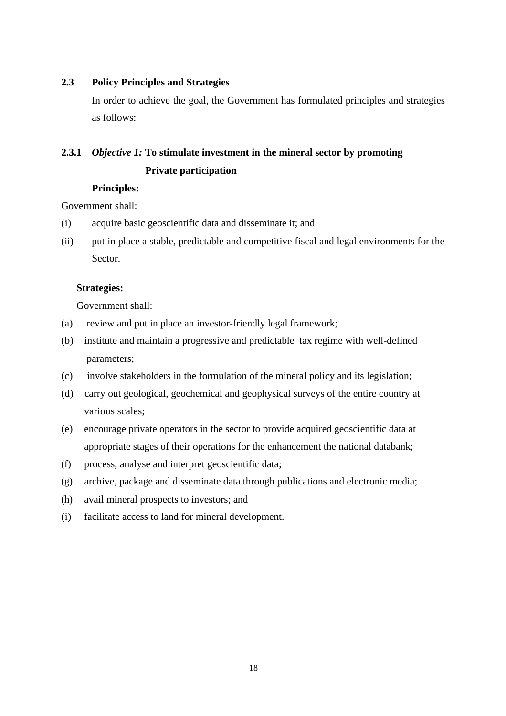# **2.3 Policy Principles and Strategies**

In order to achieve the goal, the Government has formulated principles and strategies as follows:

# **2.3.1** *Objective 1:* **To stimulate investment in the mineral sector by promoting**

# **Private participation**

### **Principles:**

Government shall:

- (i) acquire basic geoscientific data and disseminate it; and
- (ii) put in place a stable, predictable and competitive fiscal and legal environments for the Sector.

# **Strategies:**

Government shall:

- (a) review and put in place an investor-friendly legal framework;
- (b) institute and maintain a progressive and predictable tax regime with well-defined parameters;
- (c) involve stakeholders in the formulation of the mineral policy and its legislation;
- (d) carry out geological, geochemical and geophysical surveys of the entire country at various scales;
- (e) encourage private operators in the sector to provide acquired geoscientific data at appropriate stages of their operations for the enhancement the national databank;
- (f) process, analyse and interpret geoscientific data;
- (g) archive, package and disseminate data through publications and electronic media;
- (h) avail mineral prospects to investors; and
- (i) facilitate access to land for mineral development.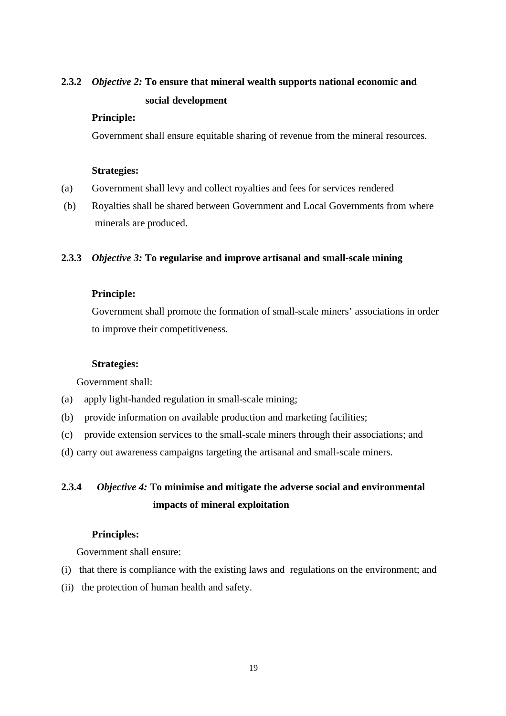# **2.3.2** *Objective 2:* **To ensure that mineral wealth supports national economic and** **social development**

### **Principle:**

Government shall ensure equitable sharing of revenue from the mineral resources.

### **Strategies:**

- (a) Government shall levy and collect royalties and fees for services rendered
- (b) Royalties shall be shared between Government and Local Governments from where minerals are produced.

### **2.3.3** *Objective 3:* **To regularise and improve artisanal and small-scale mining**

### **Principle:**

Government shall promote the formation of small-scale miners' associations in order to improve their competitiveness.

### **Strategies:**

Government shall:

- (a) apply light-handed regulation in small-scale mining;
- (b) provide information on available production and marketing facilities;
- (c) provide extension services to the small-scale miners through their associations; and
- (d) carry out awareness campaigns targeting the artisanal and small-scale miners.

# **2.3.4** *Objective 4:* **To minimise and mitigate the adverse social and environmental** **impacts of mineral exploitation**

### **Principles:**

Government shall ensure:

- (i) that there is compliance with the existing laws and regulations on the environment; and
- (ii) the protection of human health and safety.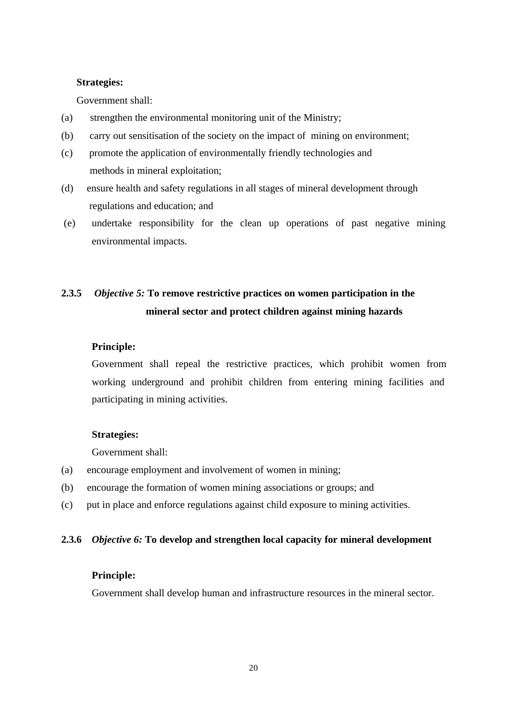### **Strategies:**

Government shall:

- (a) strengthen the environmental monitoring unit of the Ministry;
- (b) carry out sensitisation of the society on the impact of mining on environment;
- (c) promote the application of environmentally friendly technologies and methods in mineral exploitation;
- (d) ensure health and safety regulations in all stages of mineral development through regulations and education; and
- (e) undertake responsibility for the clean up operations of past negative mining environmental impacts.

# **2.3.5** *Objective 5:* **To remove restrictive practices on women participation in the** **mineral sector and protect children against mining hazards**

### **Principle:**

Government shall repeal the restrictive practices, which prohibit women from working underground and prohibit children from entering mining facilities and participating in mining activities.

### **Strategies:**

Government shall:

- (a) encourage employment and involvement of women in mining;
- (b) encourage the formation of women mining associations or groups; and
- (c) put in place and enforce regulations against child exposure to mining activities.

### **2.3.6** *Objective 6:* **To develop and strengthen local capacity for mineral development**

### **Principle:**

Government shall develop human and infrastructure resources in the mineral sector.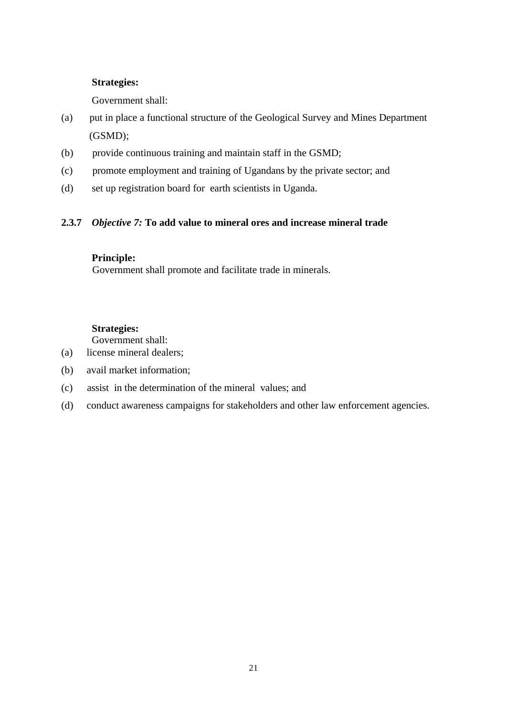# **Strategies:**

Government shall:

- (a) put in place a functional structure of the Geological Survey and Mines Department (GSMD);
- (b) provide continuous training and maintain staff in the GSMD;
- (c) promote employment and training of Ugandans by the private sector; and
- (d) set up registration board for earth scientists in Uganda.

# **2.3.7** *Objective 7:* **To add value to mineral ores and increase mineral trade**

# **Principle:**

Government shall promote and facilitate trade in minerals.

# **Strategies:**

Government shall:

- (a) license mineral dealers;
- (b) avail market information;
- (c) assist in the determination of the mineral values; and
- (d) conduct awareness campaigns for stakeholders and other law enforcement agencies.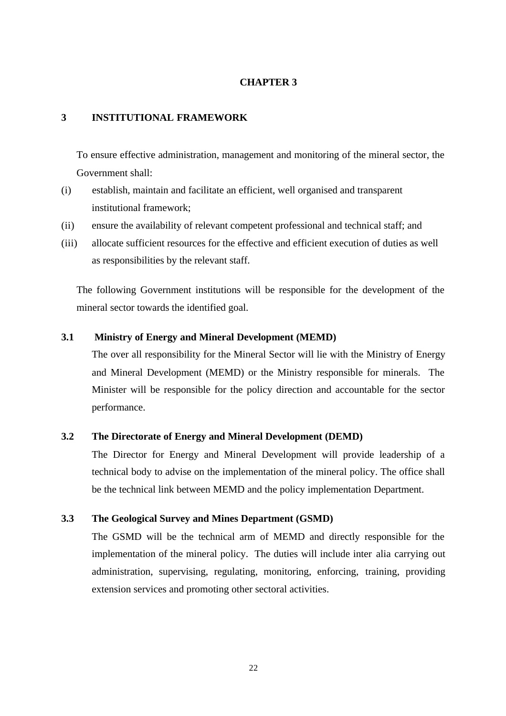### **CHAPTER 3**

### **3 INSTITUTIONAL FRAMEWORK**

To ensure effective administration, management and monitoring of the mineral sector, the Government shall:

- (i) establish, maintain and facilitate an efficient, well organised and transparent institutional framework;
- (ii) ensure the availability of relevant competent professional and technical staff; and
- (iii) allocate sufficient resources for the effective and efficient execution of duties as well as responsibilities by the relevant staff.

The following Government institutions will be responsible for the development of the mineral sector towards the identified goal.

### **3.1 Ministry of Energy and Mineral Development (MEMD)**

The over all responsibility for the Mineral Sector will lie with the Ministry of Energy and Mineral Development (MEMD) or the Ministry responsible for minerals. The Minister will be responsible for the policy direction and accountable for the sector performance.

### **3.2 The Directorate of Energy and Mineral Development (DEMD)**

The Director for Energy and Mineral Development will provide leadership of a technical body to advise on the implementation of the mineral policy. The office shall be the technical link between MEMD and the policy implementation Department.

### **3.3 The Geological Survey and Mines Department (GSMD)**

The GSMD will be the technical arm of MEMD and directly responsible for the implementation of the mineral policy. The duties will include inter alia carrying out administration, supervising, regulating, monitoring, enforcing, training, providing extension services and promoting other sectoral activities.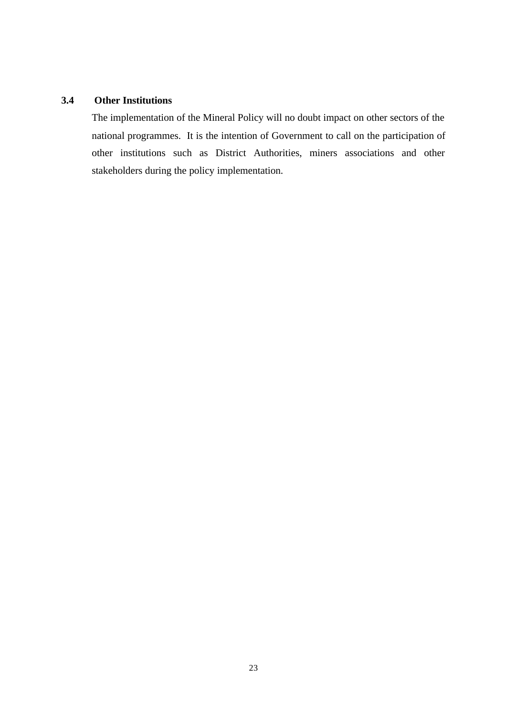# **3.4 Other Institutions**

The implementation of the Mineral Policy will no doubt impact on other sectors of the national programmes. It is the intention of Government to call on the participation of other institutions such as District Authorities, miners associations and other stakeholders during the policy implementation.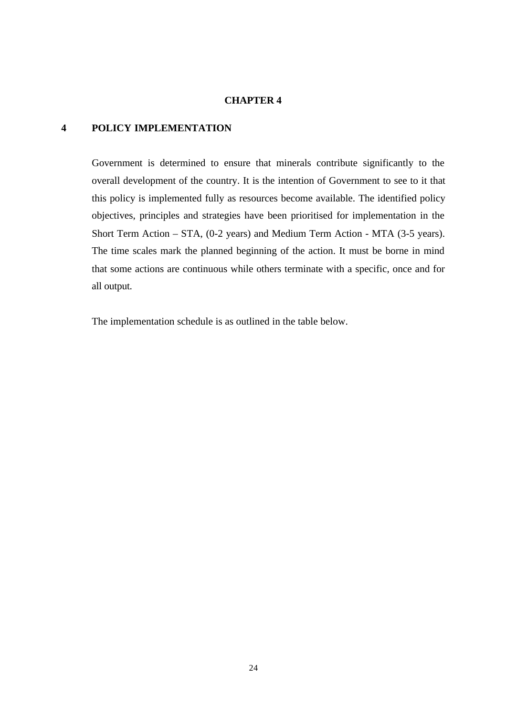### **CHAPTER 4**

# **4 POLICY IMPLEMENTATION**

Government is determined to ensure that minerals contribute significantly to the overall development of the country. It is the intention of Government to see to it that this policy is implemented fully as resources become available. The identified policy objectives, principles and strategies have been prioritised for implementation in the Short Term Action – STA, (0-2 years) and Medium Term Action - MTA (3-5 years). The time scales mark the planned beginning of the action. It must be borne in mind that some actions are continuous while others terminate with a specific, once and for all output.

The implementation schedule is as outlined in the table below.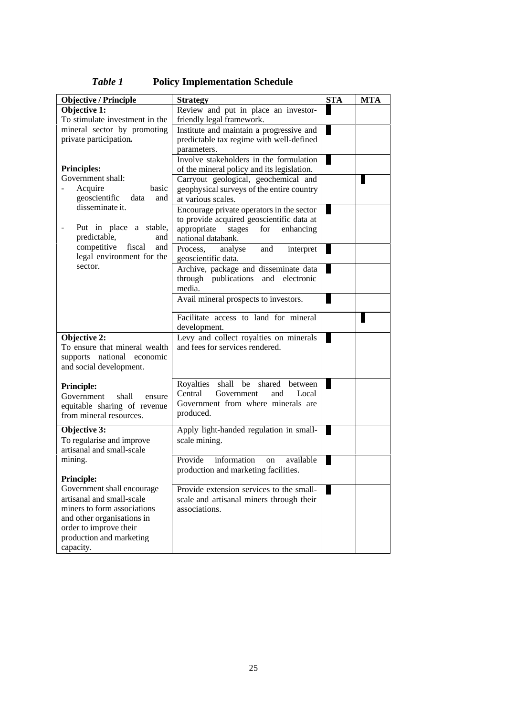| <b>Objective / Principle</b>                         | <b>Strategy</b>                                         | <b>STA</b> | <b>MTA</b> |
|------------------------------------------------------|---------------------------------------------------------|------------|------------|
| <b>Objective 1:</b>                                  | Review and put in place an investor-                    |            |            |
| To stimulate investment in the                       | friendly legal framework.                               |            |            |
| mineral sector by promoting                          | Institute and maintain a progressive and                |            |            |
| private participation.                               | predictable tax regime with well-defined<br>parameters. |            |            |
|                                                      | Involve stakeholders in the formulation                 |            |            |
| <b>Principles:</b>                                   | of the mineral policy and its legislation.              |            |            |
| Government shall:                                    | Carryout geological, geochemical and                    |            |            |
| Acquire<br>basic                                     | geophysical surveys of the entire country               |            |            |
| geoscientific<br>data<br>and                         | at various scales.                                      |            |            |
| disseminate it.                                      | Encourage private operators in the sector               |            |            |
|                                                      | to provide acquired geoscientific data at               |            |            |
| Put in place a stable,                               | appropriate stages<br>for<br>enhancing                  |            |            |
| predictable,<br>and                                  | national databank.                                      |            |            |
| competitive<br>fiscal<br>and                         | Process.<br>analyse<br>and<br>interpret                 |            |            |
| legal environment for the<br>sector.                 | geoscientific data.                                     |            |            |
|                                                      | Archive, package and disseminate data                   |            |            |
|                                                      | through publications and electronic                     |            |            |
|                                                      | media.                                                  |            |            |
|                                                      | Avail mineral prospects to investors.                   |            |            |
|                                                      | Facilitate access to land for mineral                   |            |            |
|                                                      | development.                                            |            |            |
| Objective 2:                                         | Levy and collect royalties on minerals                  |            |            |
| To ensure that mineral wealth                        | and fees for services rendered.                         |            |            |
| supports national economic                           |                                                         |            |            |
| and social development.                              |                                                         |            |            |
| <b>Principle:</b>                                    | Royalties<br>shall be<br>shared<br>between              |            |            |
| Government<br>shall<br>ensure                        | Central<br>Government<br>and<br>Local                   |            |            |
| equitable sharing of revenue                         | Government from where minerals are                      |            |            |
| from mineral resources.                              | produced.                                               |            |            |
| Objective 3:                                         | Apply light-handed regulation in small-                 |            |            |
| To regularise and improve                            | scale mining.                                           |            |            |
| artisanal and small-scale                            |                                                         |            |            |
| mining.                                              | Provide<br>information<br>available<br>on               |            |            |
|                                                      | production and marketing facilities.                    |            |            |
| <b>Principle:</b>                                    |                                                         |            |            |
| Government shall encourage                           | Provide extension services to the small-                |            |            |
| artisanal and small-scale                            | scale and artisanal miners through their                |            |            |
| miners to form associations                          | associations.                                           |            |            |
| and other organisations in<br>order to improve their |                                                         |            |            |
| production and marketing                             |                                                         |            |            |
| capacity.                                            |                                                         |            |            |

*Table 1* **Policy Implementation Schedule**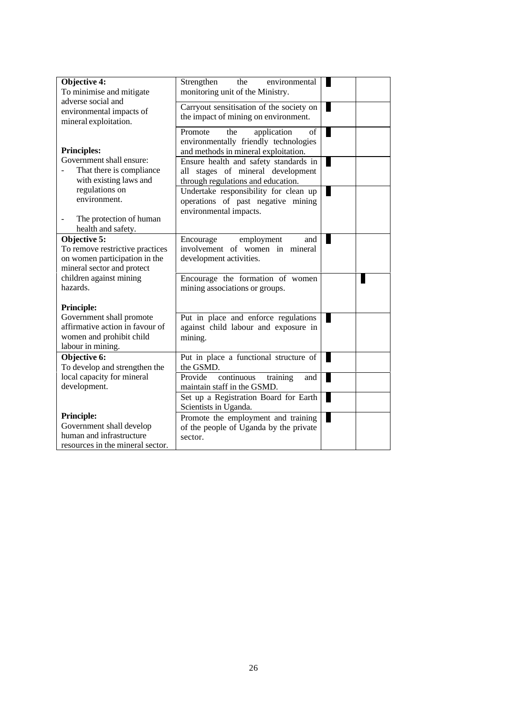| Objective 4:<br>To minimise and mitigate                                                                       | Strengthen<br>the<br>environmental<br>monitoring unit of the Ministry.                                               |  |
|----------------------------------------------------------------------------------------------------------------|----------------------------------------------------------------------------------------------------------------------|--|
| adverse social and<br>environmental impacts of<br>mineral exploitation.                                        | Carryout sensitisation of the society on<br>the impact of mining on environment.                                     |  |
| <b>Principles:</b>                                                                                             | Promote<br>application<br>the<br>of<br>environmentally friendly technologies<br>and methods in mineral exploitation. |  |
| Government shall ensure:<br>That there is compliance<br>with existing laws and                                 | Ensure health and safety standards in<br>all stages of mineral development<br>through regulations and education.     |  |
| regulations on<br>environment.<br>The protection of human                                                      | Undertake responsibility for clean up<br>operations of past negative mining<br>environmental impacts.                |  |
| health and safety.                                                                                             |                                                                                                                      |  |
| Objective 5:<br>To remove restrictive practices<br>on women participation in the<br>mineral sector and protect | Encourage<br>employment<br>and<br>involvement of women in mineral<br>development activities.                         |  |
| children against mining<br>hazards.                                                                            | Encourage the formation of women<br>mining associations or groups.                                                   |  |
| <b>Principle:</b>                                                                                              |                                                                                                                      |  |
| Government shall promote<br>affirmative action in favour of<br>women and prohibit child<br>labour in mining.   | Put in place and enforce regulations<br>against child labour and exposure in<br>mining.                              |  |
| Objective 6:<br>To develop and strengthen the                                                                  | Put in place a functional structure of<br>the GSMD.                                                                  |  |
| local capacity for mineral<br>development.                                                                     | continuous<br>Provide<br>training<br>and<br>maintain staff in the GSMD.                                              |  |
|                                                                                                                | Set up a Registration Board for Earth<br>Scientists in Uganda.                                                       |  |
| <b>Principle:</b><br>Government shall develop<br>human and infrastructure<br>resources in the mineral sector.  | Promote the employment and training<br>of the people of Uganda by the private<br>sector.                             |  |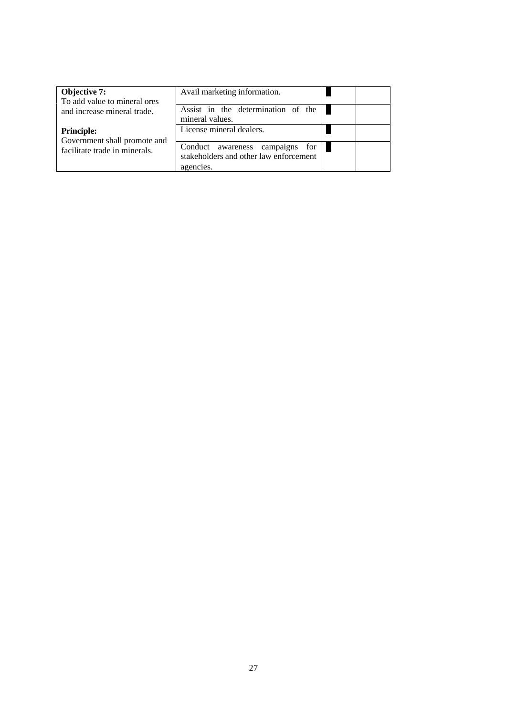| Objective 7:<br>To add value to mineral ores      | Avail marketing information.                                                           |  |
|---------------------------------------------------|----------------------------------------------------------------------------------------|--|
| and increase mineral trade.                       | Assist in the determination of the<br>mineral values.                                  |  |
| <b>Principle:</b><br>Government shall promote and | License mineral dealers.                                                               |  |
| facilitate trade in minerals.                     | Conduct awareness campaigns for<br>stakeholders and other law enforcement<br>agencies. |  |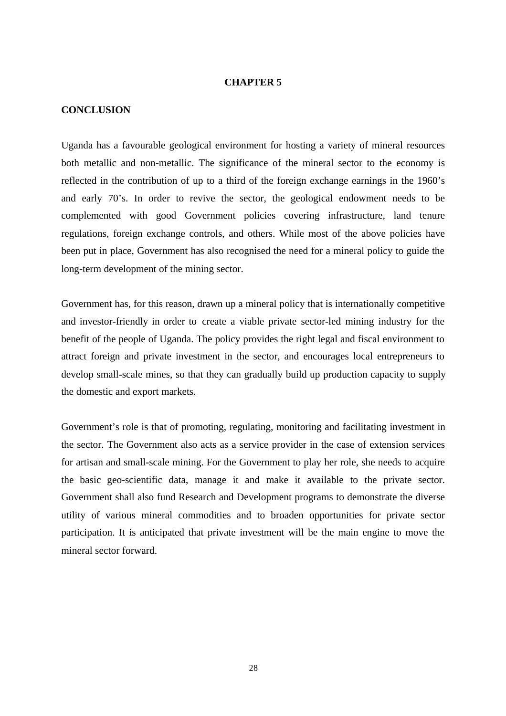### **CHAPTER 5**

### **CONCLUSION**

Uganda has a favourable geological environment for hosting a variety of mineral resources both metallic and non-metallic. The significance of the mineral sector to the economy is reflected in the contribution of up to a third of the foreign exchange earnings in the 1960's and early 70's. In order to revive the sector, the geological endowment needs to be complemented with good Government policies covering infrastructure, land tenure regulations, foreign exchange controls, and others. While most of the above policies have been put in place, Government has also recognised the need for a mineral policy to guide the long-term development of the mining sector.

Government has, for this reason, drawn up a mineral policy that is internationally competitive and investor-friendly in order to create a viable private sector-led mining industry for the benefit of the people of Uganda. The policy provides the right legal and fiscal environment to attract foreign and private investment in the sector, and encourages local entrepreneurs to develop small-scale mines, so that they can gradually build up production capacity to supply the domestic and export markets.

Government's role is that of promoting, regulating, monitoring and facilitating investment in the sector. The Government also acts as a service provider in the case of extension services for artisan and small-scale mining. For the Government to play her role, she needs to acquire the basic geo-scientific data, manage it and make it available to the private sector. Government shall also fund Research and Development programs to demonstrate the diverse utility of various mineral commodities and to broaden opportunities for private sector participation. It is anticipated that private investment will be the main engine to move the mineral sector forward.